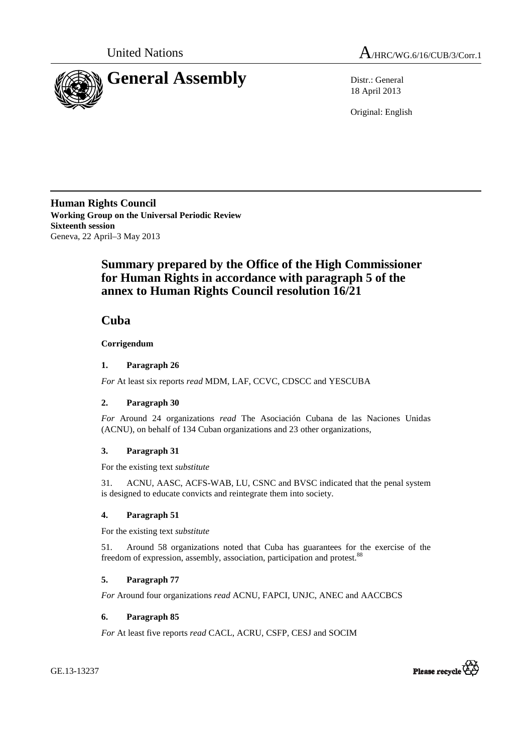



18 April 2013

Original: English

**Human Rights Council Working Group on the Universal Periodic Review Sixteenth session**  Geneva, 22 April–3 May 2013

# **Summary prepared by the Office of the High Commissioner for Human Rights in accordance with paragraph 5 of the annex to Human Rights Council resolution 16/21**

 **Cuba** 

 **Corrigendum** 

# **1. Paragraph 26**

*For* At least six reports *read* MDM, LAF, CCVC, CDSCC and YESCUBA

## **2. Paragraph 30**

*For* Around 24 organizations *read* The Asociación Cubana de las Naciones Unidas (ACNU), on behalf of 134 Cuban organizations and 23 other organizations,

# **3. Paragraph 31**

For the existing text *substitute* 

31. ACNU, AASC, ACFS-WAB, LU, CSNC and BVSC indicated that the penal system is designed to educate convicts and reintegrate them into society.

## **4. Paragraph 51**

For the existing text *substitute* 

51. Around 58 organizations noted that Cuba has guarantees for the exercise of the freedom of expression, assembly, association, participation and protest.<sup>88</sup>

## **5. Paragraph 77**

*For* Around four organizations *read* ACNU, FAPCI, UNJC, ANEC and AACCBCS

## **6. Paragraph 85**

*For* At least five reports *read* CACL, ACRU, CSFP, CESJ and SOCIM



GE.13-13237